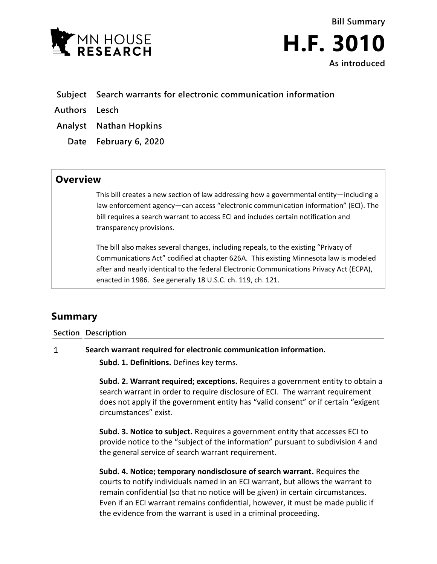

**Bill Summary H.F. 3010 As introduced**

- **Subject Search warrants for electronic communication information**
- **Authors Lesch**
- **Analyst Nathan Hopkins**
	- **Date February 6, 2020**

## **Overview**

This bill creates a new section of law addressing how a governmental entity—including a law enforcement agency—can access "electronic communication information" (ECI). The bill requires a search warrant to access ECI and includes certain notification and transparency provisions.

The bill also makes several changes, including repeals, to the existing "Privacy of Communications Act" codified at chapter 626A. This existing Minnesota law is modeled after and nearly identical to the federal Electronic Communications Privacy Act (ECPA), enacted in 1986. See generally 18 U.S.C. ch. 119, ch. 121.

# **Summary**

### **Section Description**

#### $\mathbf{1}$ **Search warrant required for electronic communication information.**

**Subd. 1. Definitions.** Defines key terms.

**Subd. 2. Warrant required; exceptions.** Requires a government entity to obtain a search warrant in order to require disclosure of ECI. The warrant requirement does not apply if the government entity has "valid consent" or if certain "exigent circumstances" exist.

**Subd. 3. Notice to subject.** Requires a government entity that accesses ECI to provide notice to the "subject of the information" pursuant to subdivision 4 and the general service of search warrant requirement.

**Subd. 4. Notice; temporary nondisclosure of search warrant.** Requires the courts to notify individuals named in an ECI warrant, but allows the warrant to remain confidential (so that no notice will be given) in certain circumstances. Even if an ECI warrant remains confidential, however, it must be made public if the evidence from the warrant is used in a criminal proceeding.